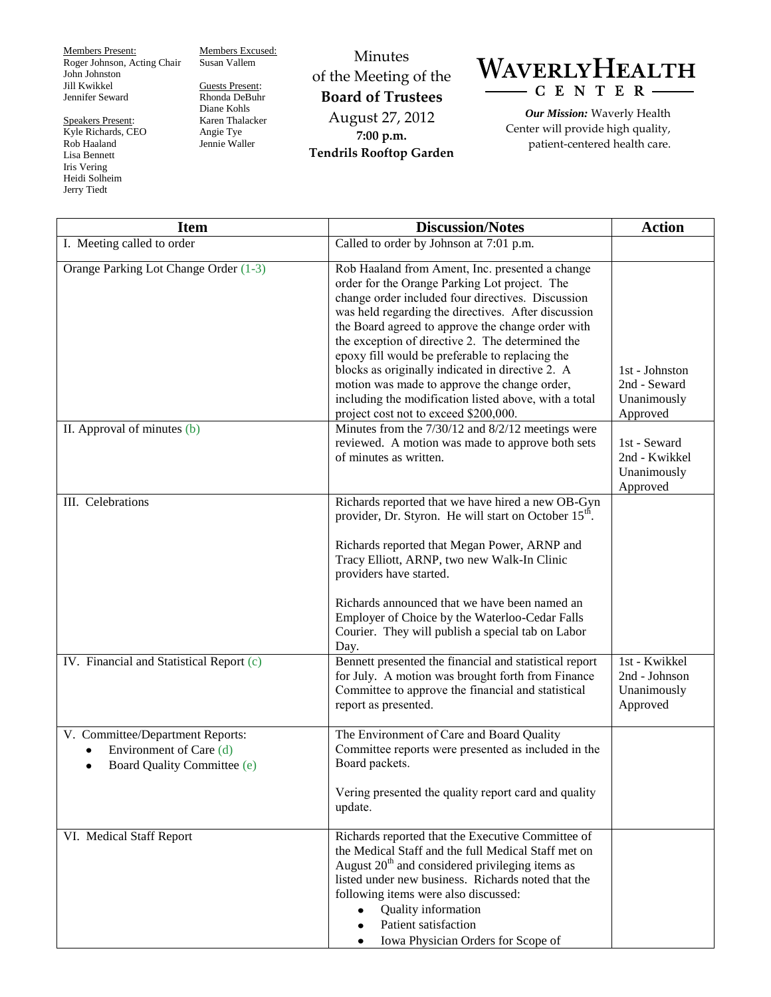Members Present: Roger Johnson, Acting Chair John Johnston Jill Kwikkel Jennifer Seward

Speakers Present: Kyle Richards, CEO Rob Haaland Lisa Bennett Iris Vering Heidi Solheim Jerry Tiedt

Members Excused: Susan Vallem Guests Present:

Rhonda DeBuhr Diane Kohls Karen Thalacker Angie Tye Jennie Waller

Minutes of the Meeting of the **Board of Trustees** August 27, 2012 **7:00 p.m. Tendrils Rooftop Garden**



*Our Mission:* Waverly Health Center will provide high quality, patient-centered health care.

| <b>Item</b>                                                                                             | <b>Discussion/Notes</b>                                                                                                                                                                                                                                                                                                                                                                                                                                                                                                                                                        | <b>Action</b>                                             |
|---------------------------------------------------------------------------------------------------------|--------------------------------------------------------------------------------------------------------------------------------------------------------------------------------------------------------------------------------------------------------------------------------------------------------------------------------------------------------------------------------------------------------------------------------------------------------------------------------------------------------------------------------------------------------------------------------|-----------------------------------------------------------|
| I. Meeting called to order                                                                              | Called to order by Johnson at 7:01 p.m.                                                                                                                                                                                                                                                                                                                                                                                                                                                                                                                                        |                                                           |
| Orange Parking Lot Change Order (1-3)                                                                   | Rob Haaland from Ament, Inc. presented a change<br>order for the Orange Parking Lot project. The<br>change order included four directives. Discussion<br>was held regarding the directives. After discussion<br>the Board agreed to approve the change order with<br>the exception of directive 2. The determined the<br>epoxy fill would be preferable to replacing the<br>blocks as originally indicated in directive 2. A<br>motion was made to approve the change order,<br>including the modification listed above, with a total<br>project cost not to exceed \$200,000. | 1st - Johnston<br>2nd - Seward<br>Unanimously<br>Approved |
| II. Approval of minutes $(b)$                                                                           | Minutes from the 7/30/12 and 8/2/12 meetings were<br>reviewed. A motion was made to approve both sets<br>of minutes as written.                                                                                                                                                                                                                                                                                                                                                                                                                                                | 1st - Seward<br>2nd - Kwikkel<br>Unanimously<br>Approved  |
| III. Celebrations                                                                                       | Richards reported that we have hired a new OB-Gyn<br>provider, Dr. Styron. He will start on October 15 <sup>th</sup> .<br>Richards reported that Megan Power, ARNP and<br>Tracy Elliott, ARNP, two new Walk-In Clinic<br>providers have started.<br>Richards announced that we have been named an<br>Employer of Choice by the Waterloo-Cedar Falls<br>Courier. They will publish a special tab on Labor<br>Day.                                                                                                                                                               |                                                           |
| IV. Financial and Statistical Report (c)                                                                | Bennett presented the financial and statistical report<br>for July. A motion was brought forth from Finance<br>Committee to approve the financial and statistical<br>report as presented.                                                                                                                                                                                                                                                                                                                                                                                      | 1st - Kwikkel<br>2nd - Johnson<br>Unanimously<br>Approved |
| V. Committee/Department Reports:<br>Environment of Care (d)<br>Board Quality Committee (e)<br>$\bullet$ | The Environment of Care and Board Quality<br>Committee reports were presented as included in the<br>Board packets.<br>Vering presented the quality report card and quality<br>update.                                                                                                                                                                                                                                                                                                                                                                                          |                                                           |
| VI. Medical Staff Report                                                                                | Richards reported that the Executive Committee of<br>the Medical Staff and the full Medical Staff met on<br>August $20th$ and considered privileging items as<br>listed under new business. Richards noted that the<br>following items were also discussed:<br>Quality information<br>Patient satisfaction<br>Iowa Physician Orders for Scope of                                                                                                                                                                                                                               |                                                           |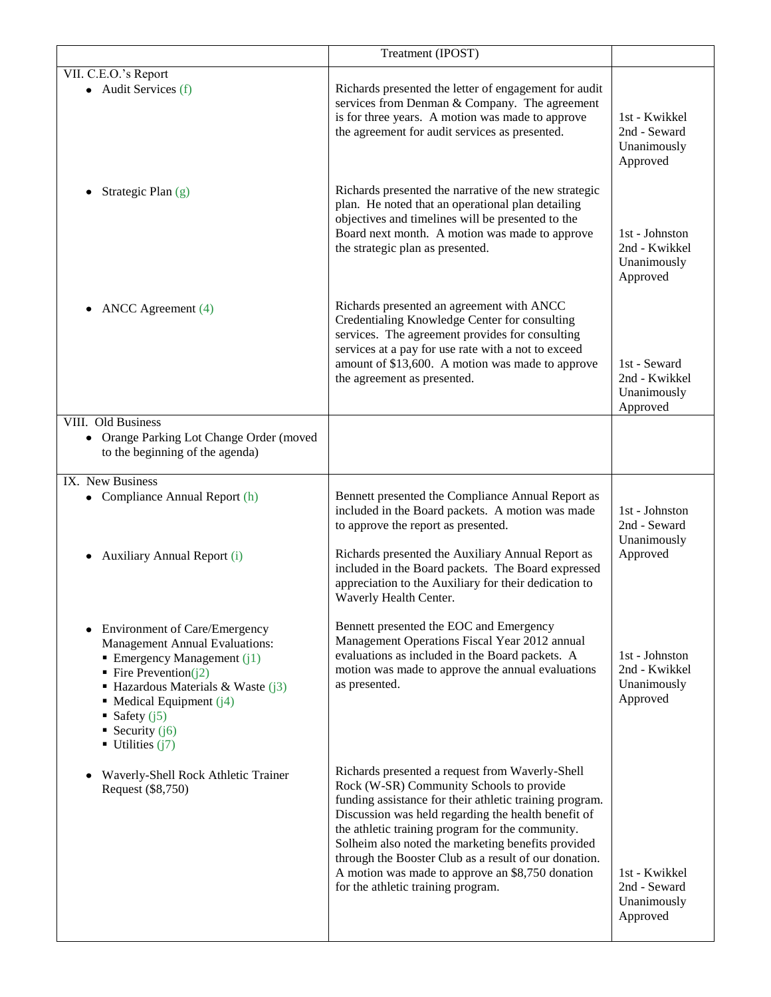|                                                                                                                                                                                                                                                                                                                             | Treatment (IPOST)                                                                                                                                                                                                                                                                                                                                                                                                                                                          |                                                            |
|-----------------------------------------------------------------------------------------------------------------------------------------------------------------------------------------------------------------------------------------------------------------------------------------------------------------------------|----------------------------------------------------------------------------------------------------------------------------------------------------------------------------------------------------------------------------------------------------------------------------------------------------------------------------------------------------------------------------------------------------------------------------------------------------------------------------|------------------------------------------------------------|
| VII. C.E.O.'s Report<br>$\bullet$ Audit Services (f)                                                                                                                                                                                                                                                                        | Richards presented the letter of engagement for audit<br>services from Denman & Company. The agreement<br>is for three years. A motion was made to approve<br>the agreement for audit services as presented.                                                                                                                                                                                                                                                               | 1st - Kwikkel<br>2nd - Seward<br>Unanimously<br>Approved   |
| Strategic Plan (g)                                                                                                                                                                                                                                                                                                          | Richards presented the narrative of the new strategic<br>plan. He noted that an operational plan detailing<br>objectives and timelines will be presented to the<br>Board next month. A motion was made to approve<br>the strategic plan as presented.                                                                                                                                                                                                                      | 1st - Johnston<br>2nd - Kwikkel<br>Unanimously<br>Approved |
| ANCC Agreement (4)                                                                                                                                                                                                                                                                                                          | Richards presented an agreement with ANCC<br>Credentialing Knowledge Center for consulting<br>services. The agreement provides for consulting<br>services at a pay for use rate with a not to exceed<br>amount of \$13,600. A motion was made to approve<br>the agreement as presented.                                                                                                                                                                                    | 1st - Seward<br>2nd - Kwikkel<br>Unanimously<br>Approved   |
| VIII. Old Business<br>• Orange Parking Lot Change Order (moved<br>to the beginning of the agenda)                                                                                                                                                                                                                           |                                                                                                                                                                                                                                                                                                                                                                                                                                                                            |                                                            |
| IX. New Business<br>• Compliance Annual Report (h)<br>Auxiliary Annual Report (i)                                                                                                                                                                                                                                           | Bennett presented the Compliance Annual Report as<br>included in the Board packets. A motion was made<br>to approve the report as presented.<br>Richards presented the Auxiliary Annual Report as<br>included in the Board packets. The Board expressed<br>appreciation to the Auxiliary for their dedication to                                                                                                                                                           | 1st - Johnston<br>2nd - Seward<br>Unanimously<br>Approved  |
| <b>Environment of Care/Emergency</b><br><b>Management Annual Evaluations:</b><br>$\blacksquare$ Emergency Management (j1)<br>• Fire Prevention( $\overline{12}$ )<br>$\blacksquare$ Hazardous Materials & Waste (j3)<br>• Medical Equipment $(i4)$<br>■ Safety $(j5)$<br>• Security $(j6)$<br>$\blacksquare$ Utilities (j7) | Waverly Health Center.<br>Bennett presented the EOC and Emergency<br>Management Operations Fiscal Year 2012 annual<br>evaluations as included in the Board packets. A<br>motion was made to approve the annual evaluations<br>as presented.                                                                                                                                                                                                                                | 1st - Johnston<br>2nd - Kwikkel<br>Unanimously<br>Approved |
| Waverly-Shell Rock Athletic Trainer<br>Request (\$8,750)                                                                                                                                                                                                                                                                    | Richards presented a request from Waverly-Shell<br>Rock (W-SR) Community Schools to provide<br>funding assistance for their athletic training program.<br>Discussion was held regarding the health benefit of<br>the athletic training program for the community.<br>Solheim also noted the marketing benefits provided<br>through the Booster Club as a result of our donation.<br>A motion was made to approve an \$8,750 donation<br>for the athletic training program. | 1st - Kwikkel<br>2nd - Seward<br>Unanimously<br>Approved   |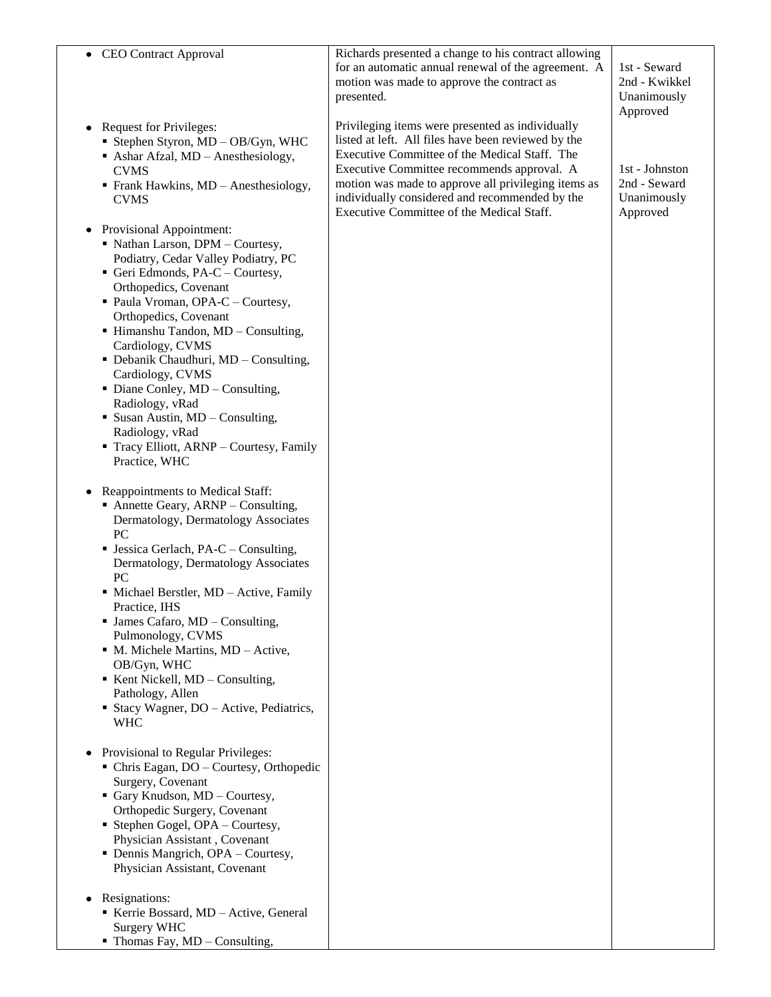| • CEO Contract Approval                                                                                                                                                                                                                                                                                                                                                                                                                                                                                                                                                                                                                                                                                                                                                                                                                                                                                                                                                                                                                                                                                                                          | Richards presented a change to his contract allowing<br>for an automatic annual renewal of the agreement. A<br>motion was made to approve the contract as<br>presented.                                                                                                                                                                                      | 1st - Seward<br>2nd - Kwikkel<br>Unanimously<br>Approved  |
|--------------------------------------------------------------------------------------------------------------------------------------------------------------------------------------------------------------------------------------------------------------------------------------------------------------------------------------------------------------------------------------------------------------------------------------------------------------------------------------------------------------------------------------------------------------------------------------------------------------------------------------------------------------------------------------------------------------------------------------------------------------------------------------------------------------------------------------------------------------------------------------------------------------------------------------------------------------------------------------------------------------------------------------------------------------------------------------------------------------------------------------------------|--------------------------------------------------------------------------------------------------------------------------------------------------------------------------------------------------------------------------------------------------------------------------------------------------------------------------------------------------------------|-----------------------------------------------------------|
| <b>Request for Privileges:</b><br>Stephen Styron, MD - OB/Gyn, WHC<br>• Ashar Afzal, MD - Anesthesiology,<br><b>CVMS</b><br>Frank Hawkins, MD - Anesthesiology,<br><b>CVMS</b>                                                                                                                                                                                                                                                                                                                                                                                                                                                                                                                                                                                                                                                                                                                                                                                                                                                                                                                                                                   | Privileging items were presented as individually<br>listed at left. All files have been reviewed by the<br>Executive Committee of the Medical Staff. The<br>Executive Committee recommends approval. A<br>motion was made to approve all privileging items as<br>individually considered and recommended by the<br>Executive Committee of the Medical Staff. | 1st - Johnston<br>2nd - Seward<br>Unanimously<br>Approved |
| <b>Provisional Appointment:</b><br>• Nathan Larson, DPM - Courtesy,<br>Podiatry, Cedar Valley Podiatry, PC<br>Geri Edmonds, PA-C - Courtesy,<br>Orthopedics, Covenant<br>• Paula Vroman, OPA-C - Courtesy,<br>Orthopedics, Covenant<br>• Himanshu Tandon, MD - Consulting,<br>Cardiology, CVMS<br>• Debanik Chaudhuri, MD - Consulting,<br>Cardiology, CVMS<br>• Diane Conley, MD - Consulting,<br>Radiology, vRad<br>• Susan Austin, MD - Consulting,<br>Radiology, vRad<br>Tracy Elliott, ARNP - Courtesy, Family<br>Practice, WHC<br>Reappointments to Medical Staff:<br>٠<br>• Annette Geary, ARNP – Consulting,<br>Dermatology, Dermatology Associates<br>PC<br>• Jessica Gerlach, PA-C – Consulting,<br>Dermatology, Dermatology Associates<br>PC<br>• Michael Berstler, MD - Active, Family<br>Practice, IHS<br>$\blacksquare$ James Cafaro, MD – Consulting,<br>Pulmonology, CVMS<br>• M. Michele Martins, MD – Active,<br>OB/Gyn, WHC<br>Kent Nickell, MD - Consulting,<br>Pathology, Allen<br>• Stacy Wagner, DO – Active, Pediatrics,<br><b>WHC</b><br>Provisional to Regular Privileges:<br>• Chris Eagan, DO – Courtesy, Orthopedic |                                                                                                                                                                                                                                                                                                                                                              |                                                           |
| Surgery, Covenant<br>Gary Knudson, MD - Courtesy,<br>Orthopedic Surgery, Covenant<br>• Stephen Gogel, OPA – Courtesy,<br>Physician Assistant, Covenant<br>• Dennis Mangrich, OPA – Courtesy,<br>Physician Assistant, Covenant                                                                                                                                                                                                                                                                                                                                                                                                                                                                                                                                                                                                                                                                                                                                                                                                                                                                                                                    |                                                                                                                                                                                                                                                                                                                                                              |                                                           |
| Resignations:<br>Kerrie Bossard, MD - Active, General<br><b>Surgery WHC</b><br>$\blacksquare$ Thomas Fay, MD – Consulting,                                                                                                                                                                                                                                                                                                                                                                                                                                                                                                                                                                                                                                                                                                                                                                                                                                                                                                                                                                                                                       |                                                                                                                                                                                                                                                                                                                                                              |                                                           |